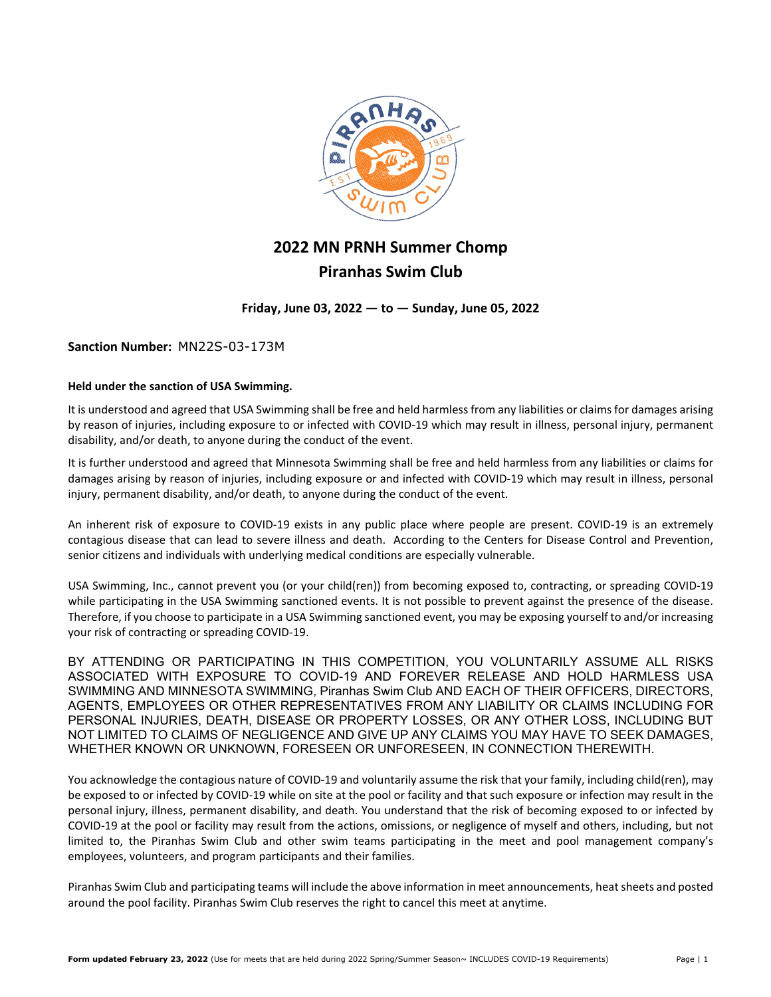

# **2022 MN PRNH Summer Chomp Piranhas Swim Club**

**Friday, June 03, 2022 — to — Sunday, June 05, 2022**

**Sanction Number:** MN22S-03-173M

#### **Held under the sanction of USA Swimming.**

It is understood and agreed that USA Swimming shall be free and held harmless from any liabilities or claims for damages arising by reason of injuries, including exposure to or infected with COVID-19 which may result in illness, personal injury, permanent disability, and/or death, to anyone during the conduct of the event.

It is further understood and agreed that Minnesota Swimming shall be free and held harmless from any liabilities or claims for damages arising by reason of injuries, including exposure or and infected with COVID-19 which may result in illness, personal injury, permanent disability, and/or death, to anyone during the conduct of the event.

An inherent risk of exposure to COVID-19 exists in any public place where people are present. COVID-19 is an extremely contagious disease that can lead to severe illness and death. According to the Centers for Disease Control and Prevention, senior citizens and individuals with underlying medical conditions are especially vulnerable.

USA Swimming, Inc., cannot prevent you (or your child(ren)) from becoming exposed to, contracting, or spreading COVID-19 while participating in the USA Swimming sanctioned events. It is not possible to prevent against the presence of the disease. Therefore, if you choose to participate in a USA Swimming sanctioned event, you may be exposing yourself to and/or increasing your risk of contracting or spreading COVID-19.

BY ATTENDING OR PARTICIPATING IN THIS COMPETITION, YOU VOLUNTARILY ASSUME ALL RISKS ASSOCIATED WITH EXPOSURE TO COVID-19 AND FOREVER RELEASE AND HOLD HARMLESS USA SWIMMING AND MINNESOTA SWIMMING, Piranhas Swim Club AND EACH OF THEIR OFFICERS, DIRECTORS, AGENTS, EMPLOYEES OR OTHER REPRESENTATIVES FROM ANY LIABILITY OR CLAIMS INCLUDING FOR PERSONAL INJURIES, DEATH, DISEASE OR PROPERTY LOSSES, OR ANY OTHER LOSS, INCLUDING BUT NOT LIMITED TO CLAIMS OF NEGLIGENCE AND GIVE UP ANY CLAIMS YOU MAY HAVE TO SEEK DAMAGES, WHETHER KNOWN OR UNKNOWN, FORESEEN OR UNFORESEEN, IN CONNECTION THEREWITH.

You acknowledge the contagious nature of COVID-19 and voluntarily assume the risk that your family, including child(ren), may be exposed to or infected by COVID-19 while on site at the pool or facility and that such exposure or infection may result in the personal injury, illness, permanent disability, and death. You understand that the risk of becoming exposed to or infected by COVID-19 at the pool or facility may result from the actions, omissions, or negligence of myself and others, including, but not limited to, the Piranhas Swim Club and other swim teams participating in the meet and pool management company's employees, volunteers, and program participants and their families.

Piranhas Swim Club and participating teams will include the above information in meet announcements, heat sheets and posted around the pool facility. Piranhas Swim Club reserves the right to cancel this meet at anytime.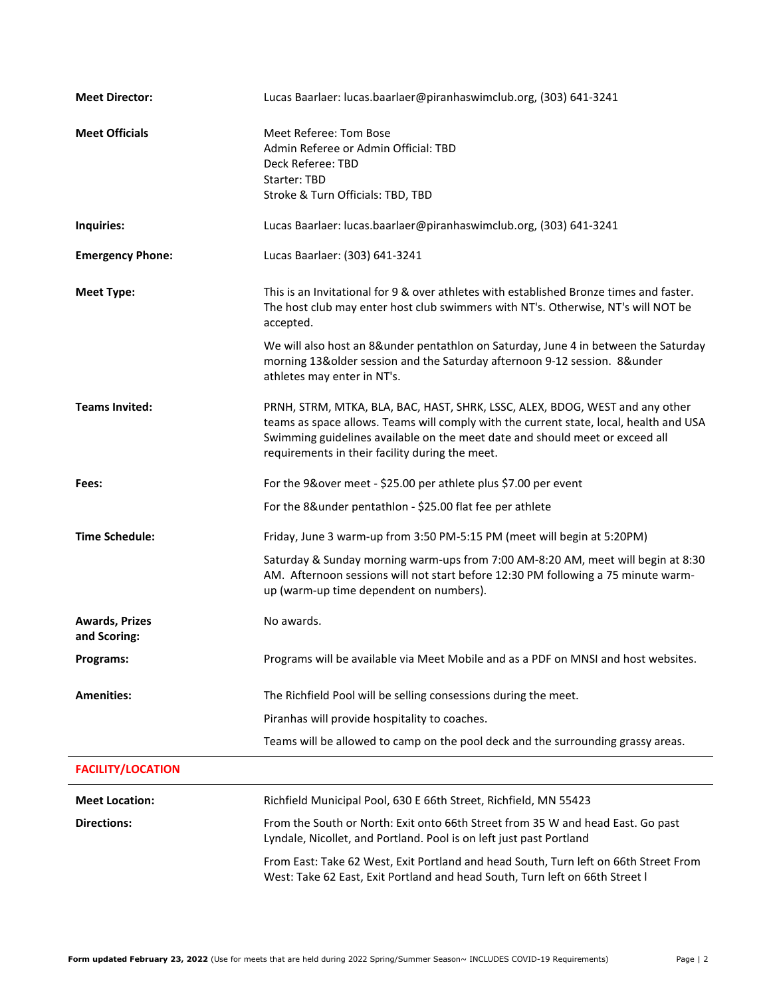| <b>Meet Director:</b>                 | Lucas Baarlaer: lucas.baarlaer@piranhaswimclub.org, (303) 641-3241                                                                                                                                                                                                                                        |  |
|---------------------------------------|-----------------------------------------------------------------------------------------------------------------------------------------------------------------------------------------------------------------------------------------------------------------------------------------------------------|--|
| <b>Meet Officials</b>                 | Meet Referee: Tom Bose<br>Admin Referee or Admin Official: TBD<br>Deck Referee: TBD<br>Starter: TBD<br>Stroke & Turn Officials: TBD, TBD                                                                                                                                                                  |  |
| Inquiries:                            | Lucas Baarlaer: lucas.baarlaer@piranhaswimclub.org, (303) 641-3241                                                                                                                                                                                                                                        |  |
| <b>Emergency Phone:</b>               | Lucas Baarlaer: (303) 641-3241                                                                                                                                                                                                                                                                            |  |
| <b>Meet Type:</b>                     | This is an Invitational for 9 & over athletes with established Bronze times and faster.<br>The host club may enter host club swimmers with NT's. Otherwise, NT's will NOT be<br>accepted.<br>We will also host an 8&under pentathlon on Saturday, June 4 in between the Saturday                          |  |
|                                       | morning 13&older session and the Saturday afternoon 9-12 session. 8&under<br>athletes may enter in NT's.                                                                                                                                                                                                  |  |
| <b>Teams Invited:</b>                 | PRNH, STRM, MTKA, BLA, BAC, HAST, SHRK, LSSC, ALEX, BDOG, WEST and any other<br>teams as space allows. Teams will comply with the current state, local, health and USA<br>Swimming guidelines available on the meet date and should meet or exceed all<br>requirements in their facility during the meet. |  |
| Fees:                                 | For the 9&over meet - \$25.00 per athlete plus \$7.00 per event                                                                                                                                                                                                                                           |  |
|                                       | For the 8&under pentathlon - \$25.00 flat fee per athlete                                                                                                                                                                                                                                                 |  |
| <b>Time Schedule:</b>                 | Friday, June 3 warm-up from 3:50 PM-5:15 PM (meet will begin at 5:20PM)                                                                                                                                                                                                                                   |  |
|                                       | Saturday & Sunday morning warm-ups from 7:00 AM-8:20 AM, meet will begin at 8:30<br>AM. Afternoon sessions will not start before 12:30 PM following a 75 minute warm-<br>up (warm-up time dependent on numbers).                                                                                          |  |
| <b>Awards, Prizes</b><br>and Scoring: | No awards.                                                                                                                                                                                                                                                                                                |  |
| Programs:                             | Programs will be available via Meet Mobile and as a PDF on MNSI and host websites.                                                                                                                                                                                                                        |  |
| <b>Amenities:</b>                     | The Richfield Pool will be selling consessions during the meet.                                                                                                                                                                                                                                           |  |
|                                       | Piranhas will provide hospitality to coaches.                                                                                                                                                                                                                                                             |  |
|                                       | Teams will be allowed to camp on the pool deck and the surrounding grassy areas.                                                                                                                                                                                                                          |  |
| <b>FACILITY/LOCATION</b>              |                                                                                                                                                                                                                                                                                                           |  |
| <b>Meet Location:</b>                 | Richfield Municipal Pool, 630 E 66th Street, Richfield, MN 55423                                                                                                                                                                                                                                          |  |
| <b>Directions:</b>                    | From the South or North: Exit onto 66th Street from 35 W and head East. Go past<br>Lyndale, Nicollet, and Portland. Pool is on left just past Portland                                                                                                                                                    |  |
|                                       |                                                                                                                                                                                                                                                                                                           |  |

From East: Take 62 West, Exit Portland and head South, Turn left on 66th Street From West: Take 62 East, Exit Portland and head South, Turn left on 66th Street l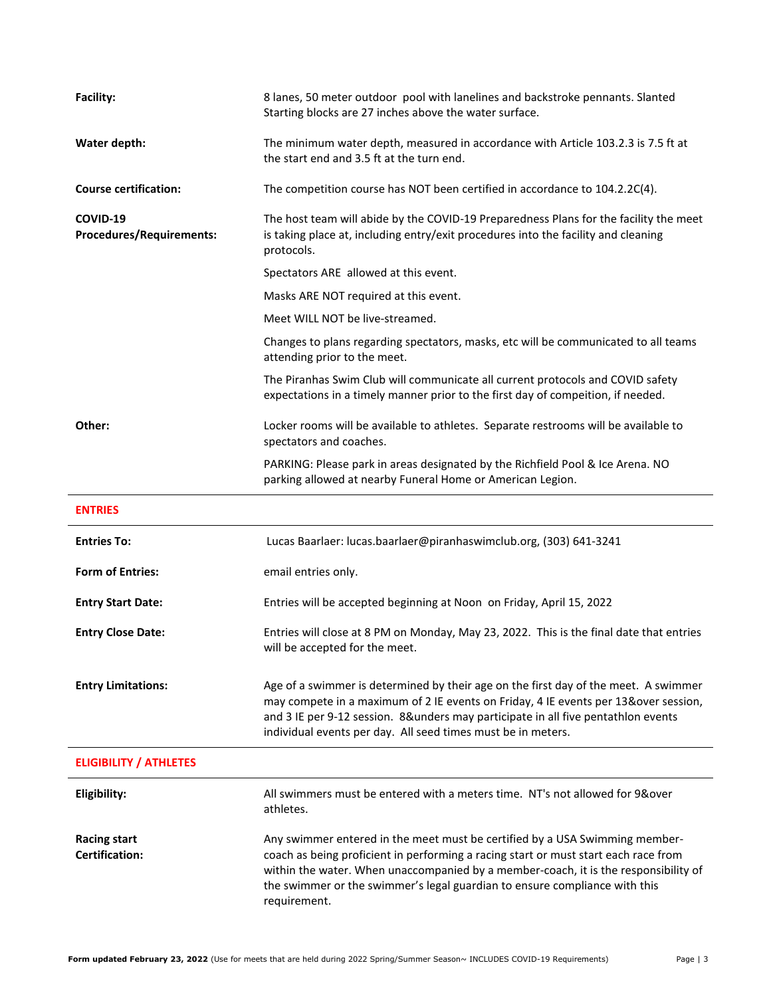| <b>Facility:</b>                             | 8 lanes, 50 meter outdoor pool with lanelines and backstroke pennants. Slanted<br>Starting blocks are 27 inches above the water surface.                                                                                                                                                                                                                |  |
|----------------------------------------------|---------------------------------------------------------------------------------------------------------------------------------------------------------------------------------------------------------------------------------------------------------------------------------------------------------------------------------------------------------|--|
| Water depth:                                 | The minimum water depth, measured in accordance with Article 103.2.3 is 7.5 ft at<br>the start end and 3.5 ft at the turn end.                                                                                                                                                                                                                          |  |
| <b>Course certification:</b>                 | The competition course has NOT been certified in accordance to 104.2.2C(4).                                                                                                                                                                                                                                                                             |  |
| COVID-19<br><b>Procedures/Requirements:</b>  | The host team will abide by the COVID-19 Preparedness Plans for the facility the meet<br>is taking place at, including entry/exit procedures into the facility and cleaning<br>protocols.                                                                                                                                                               |  |
|                                              | Spectators ARE allowed at this event.                                                                                                                                                                                                                                                                                                                   |  |
|                                              | Masks ARE NOT required at this event.                                                                                                                                                                                                                                                                                                                   |  |
|                                              | Meet WILL NOT be live-streamed.                                                                                                                                                                                                                                                                                                                         |  |
|                                              | Changes to plans regarding spectators, masks, etc will be communicated to all teams<br>attending prior to the meet.                                                                                                                                                                                                                                     |  |
|                                              | The Piranhas Swim Club will communicate all current protocols and COVID safety<br>expectations in a timely manner prior to the first day of compeition, if needed.                                                                                                                                                                                      |  |
| Other:                                       | Locker rooms will be available to athletes. Separate restrooms will be available to<br>spectators and coaches.                                                                                                                                                                                                                                          |  |
|                                              | PARKING: Please park in areas designated by the Richfield Pool & Ice Arena. NO<br>parking allowed at nearby Funeral Home or American Legion.                                                                                                                                                                                                            |  |
| <b>ENTRIES</b>                               |                                                                                                                                                                                                                                                                                                                                                         |  |
| <b>Entries To:</b>                           | Lucas Baarlaer: lucas.baarlaer@piranhaswimclub.org, (303) 641-3241                                                                                                                                                                                                                                                                                      |  |
| <b>Form of Entries:</b>                      | email entries only.                                                                                                                                                                                                                                                                                                                                     |  |
| <b>Entry Start Date:</b>                     | Entries will be accepted beginning at Noon on Friday, April 15, 2022                                                                                                                                                                                                                                                                                    |  |
| <b>Entry Close Date:</b>                     | Entries will close at 8 PM on Monday, May 23, 2022. This is the final date that entries<br>will be accepted for the meet.                                                                                                                                                                                                                               |  |
| <b>Entry Limitations:</b>                    | Age of a swimmer is determined by their age on the first day of the meet. A swimmer<br>may compete in a maximum of 2 IE events on Friday, 4 IE events per 13&over session,<br>and 3 IE per 9-12 session. 8&unders may participate in all five pentathlon events<br>individual events per day. All seed times must be in meters.                         |  |
| <b>ELIGIBILITY / ATHLETES</b>                |                                                                                                                                                                                                                                                                                                                                                         |  |
| Eligibility:                                 | All swimmers must be entered with a meters time. NT's not allowed for 9&over<br>athletes.                                                                                                                                                                                                                                                               |  |
| <b>Racing start</b><br><b>Certification:</b> | Any swimmer entered in the meet must be certified by a USA Swimming member-<br>coach as being proficient in performing a racing start or must start each race from<br>within the water. When unaccompanied by a member-coach, it is the responsibility of<br>the swimmer or the swimmer's legal guardian to ensure compliance with this<br>requirement. |  |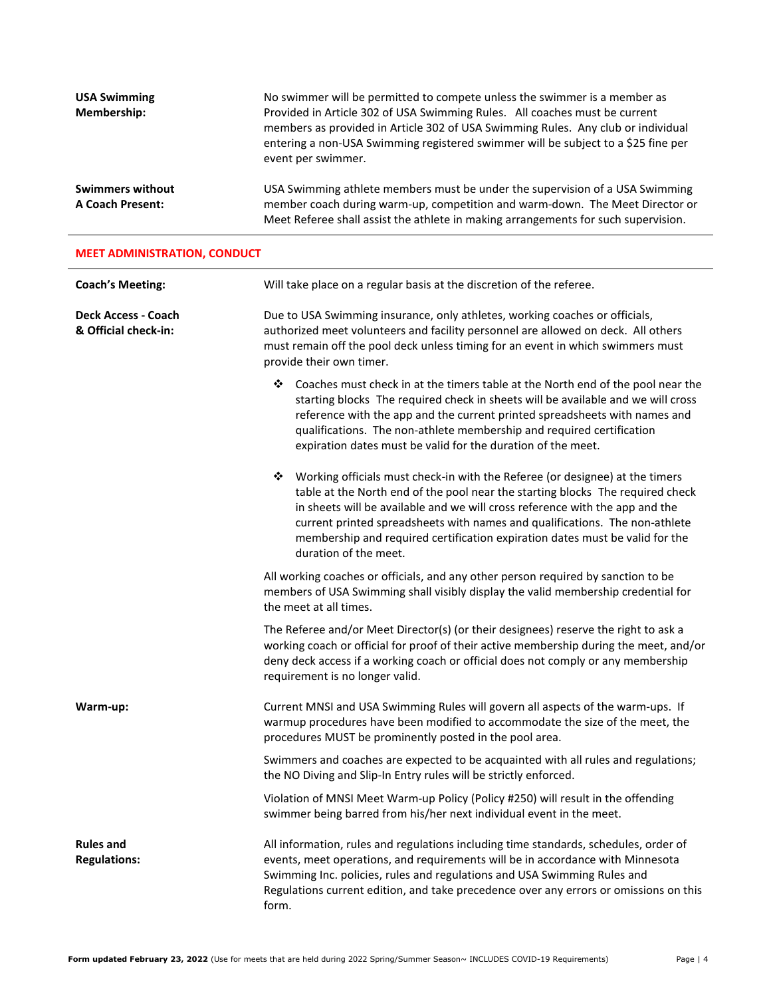| <b>USA Swimming</b><br>Membership:                 | No swimmer will be permitted to compete unless the swimmer is a member as<br>Provided in Article 302 of USA Swimming Rules. All coaches must be current<br>members as provided in Article 302 of USA Swimming Rules. Any club or individual<br>entering a non-USA Swimming registered swimmer will be subject to a \$25 fine per<br>event per swimmer. |
|----------------------------------------------------|--------------------------------------------------------------------------------------------------------------------------------------------------------------------------------------------------------------------------------------------------------------------------------------------------------------------------------------------------------|
| <b>Swimmers without</b><br><b>A Coach Present:</b> | USA Swimming athlete members must be under the supervision of a USA Swimming<br>member coach during warm-up, competition and warm-down. The Meet Director or<br>Meet Referee shall assist the athlete in making arrangements for such supervision.                                                                                                     |

### **MEET ADMINISTRATION, CONDUCT**

| <b>Coach's Meeting:</b>                     | Will take place on a regular basis at the discretion of the referee.                                                                                                                                                                                                                                                                                                                                                                        |  |
|---------------------------------------------|---------------------------------------------------------------------------------------------------------------------------------------------------------------------------------------------------------------------------------------------------------------------------------------------------------------------------------------------------------------------------------------------------------------------------------------------|--|
| Deck Access - Coach<br>& Official check-in: | Due to USA Swimming insurance, only athletes, working coaches or officials,<br>authorized meet volunteers and facility personnel are allowed on deck. All others<br>must remain off the pool deck unless timing for an event in which swimmers must<br>provide their own timer.                                                                                                                                                             |  |
|                                             | ❖ Coaches must check in at the timers table at the North end of the pool near the<br>starting blocks The required check in sheets will be available and we will cross<br>reference with the app and the current printed spreadsheets with names and<br>qualifications. The non-athlete membership and required certification<br>expiration dates must be valid for the duration of the meet.                                                |  |
|                                             | Working officials must check-in with the Referee (or designee) at the timers<br>❖<br>table at the North end of the pool near the starting blocks The required check<br>in sheets will be available and we will cross reference with the app and the<br>current printed spreadsheets with names and qualifications. The non-athlete<br>membership and required certification expiration dates must be valid for the<br>duration of the meet. |  |
|                                             | All working coaches or officials, and any other person required by sanction to be<br>members of USA Swimming shall visibly display the valid membership credential for<br>the meet at all times.                                                                                                                                                                                                                                            |  |
|                                             | The Referee and/or Meet Director(s) (or their designees) reserve the right to ask a<br>working coach or official for proof of their active membership during the meet, and/or<br>deny deck access if a working coach or official does not comply or any membership<br>requirement is no longer valid.                                                                                                                                       |  |
| Warm-up:                                    | Current MNSI and USA Swimming Rules will govern all aspects of the warm-ups. If<br>warmup procedures have been modified to accommodate the size of the meet, the<br>procedures MUST be prominently posted in the pool area.                                                                                                                                                                                                                 |  |
|                                             | Swimmers and coaches are expected to be acquainted with all rules and regulations;<br>the NO Diving and Slip-In Entry rules will be strictly enforced.                                                                                                                                                                                                                                                                                      |  |
|                                             | Violation of MNSI Meet Warm-up Policy (Policy #250) will result in the offending<br>swimmer being barred from his/her next individual event in the meet.                                                                                                                                                                                                                                                                                    |  |
| <b>Rules and</b><br><b>Regulations:</b>     | All information, rules and regulations including time standards, schedules, order of<br>events, meet operations, and requirements will be in accordance with Minnesota<br>Swimming Inc. policies, rules and regulations and USA Swimming Rules and<br>Regulations current edition, and take precedence over any errors or omissions on this<br>form.                                                                                        |  |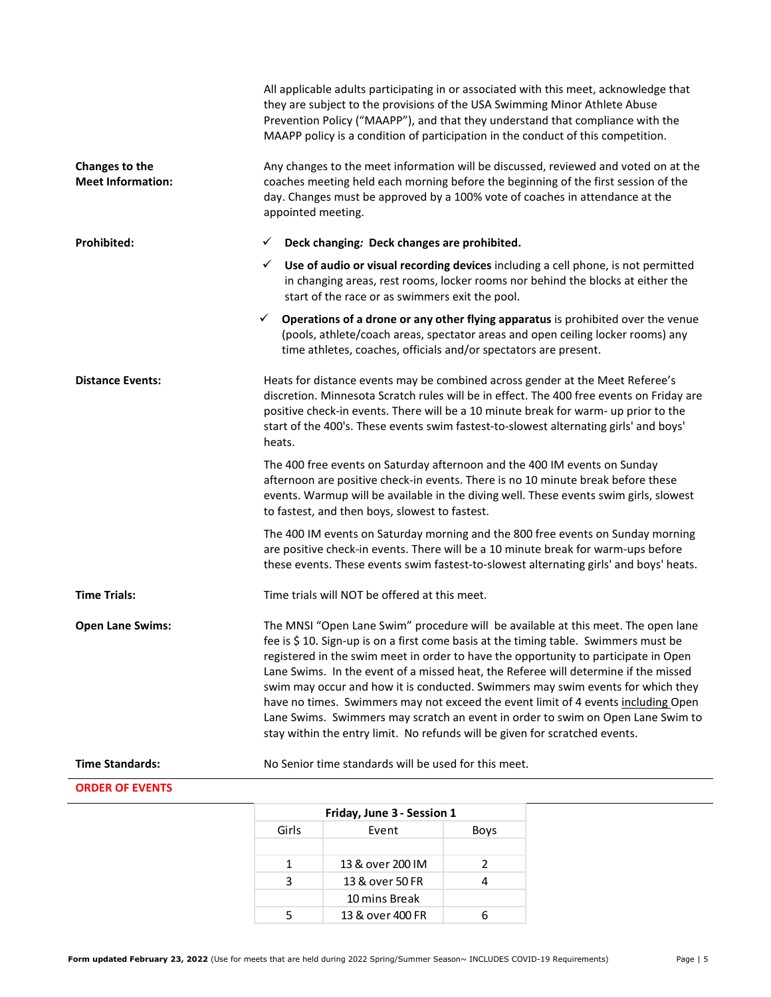|                                            | All applicable adults participating in or associated with this meet, acknowledge that<br>they are subject to the provisions of the USA Swimming Minor Athlete Abuse<br>Prevention Policy ("MAAPP"), and that they understand that compliance with the<br>MAAPP policy is a condition of participation in the conduct of this competition.                                                                                                                                                                                                                                                                                                                                                        |
|--------------------------------------------|--------------------------------------------------------------------------------------------------------------------------------------------------------------------------------------------------------------------------------------------------------------------------------------------------------------------------------------------------------------------------------------------------------------------------------------------------------------------------------------------------------------------------------------------------------------------------------------------------------------------------------------------------------------------------------------------------|
| Changes to the<br><b>Meet Information:</b> | Any changes to the meet information will be discussed, reviewed and voted on at the<br>coaches meeting held each morning before the beginning of the first session of the<br>day. Changes must be approved by a 100% vote of coaches in attendance at the<br>appointed meeting.                                                                                                                                                                                                                                                                                                                                                                                                                  |
| Prohibited:                                | Deck changing: Deck changes are prohibited.<br>✓                                                                                                                                                                                                                                                                                                                                                                                                                                                                                                                                                                                                                                                 |
|                                            | Use of audio or visual recording devices including a cell phone, is not permitted<br>✓<br>in changing areas, rest rooms, locker rooms nor behind the blocks at either the<br>start of the race or as swimmers exit the pool.                                                                                                                                                                                                                                                                                                                                                                                                                                                                     |
|                                            | Operations of a drone or any other flying apparatus is prohibited over the venue<br>✓<br>(pools, athlete/coach areas, spectator areas and open ceiling locker rooms) any<br>time athletes, coaches, officials and/or spectators are present.                                                                                                                                                                                                                                                                                                                                                                                                                                                     |
| <b>Distance Events:</b>                    | Heats for distance events may be combined across gender at the Meet Referee's<br>discretion. Minnesota Scratch rules will be in effect. The 400 free events on Friday are<br>positive check-in events. There will be a 10 minute break for warm- up prior to the<br>start of the 400's. These events swim fastest-to-slowest alternating girls' and boys'<br>heats.                                                                                                                                                                                                                                                                                                                              |
|                                            | The 400 free events on Saturday afternoon and the 400 IM events on Sunday<br>afternoon are positive check-in events. There is no 10 minute break before these<br>events. Warmup will be available in the diving well. These events swim girls, slowest<br>to fastest, and then boys, slowest to fastest.                                                                                                                                                                                                                                                                                                                                                                                         |
|                                            | The 400 IM events on Saturday morning and the 800 free events on Sunday morning<br>are positive check-in events. There will be a 10 minute break for warm-ups before<br>these events. These events swim fastest-to-slowest alternating girls' and boys' heats.                                                                                                                                                                                                                                                                                                                                                                                                                                   |
| <b>Time Trials:</b>                        | Time trials will NOT be offered at this meet.                                                                                                                                                                                                                                                                                                                                                                                                                                                                                                                                                                                                                                                    |
| <b>Open Lane Swims:</b>                    | The MNSI "Open Lane Swim" procedure will be available at this meet. The open lane<br>fee is \$10. Sign-up is on a first come basis at the timing table. Swimmers must be<br>registered in the swim meet in order to have the opportunity to participate in Open<br>Lane Swims. In the event of a missed heat, the Referee will determine if the missed<br>swim may occur and how it is conducted. Swimmers may swim events for which they<br>have no times. Swimmers may not exceed the event limit of 4 events including Open<br>Lane Swims. Swimmers may scratch an event in order to swim on Open Lane Swim to<br>stay within the entry limit. No refunds will be given for scratched events. |
| <b>Time Standards:</b>                     | No Senior time standards will be used for this meet.                                                                                                                                                                                                                                                                                                                                                                                                                                                                                                                                                                                                                                             |
| <b>ORDER OF EVENTS</b>                     |                                                                                                                                                                                                                                                                                                                                                                                                                                                                                                                                                                                                                                                                                                  |

| Friday, June 3 - Session 1 |                  |      |
|----------------------------|------------------|------|
| Girls                      | Event            | Boys |
|                            |                  |      |
| 1                          | 13 & over 200 IM | 2    |
| з                          | 13 & over 50 FR  |      |
|                            | 10 mins Break    |      |
|                            | 13 & over 400 FR |      |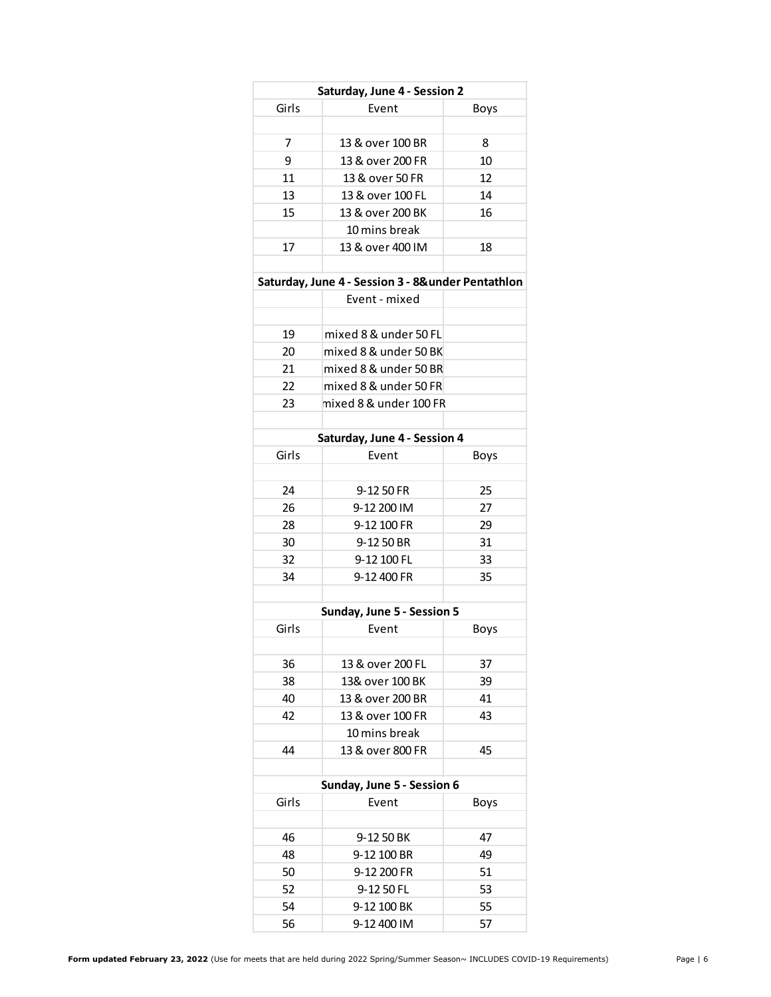| Saturday, June 4 - Session 2 |                  |             |
|------------------------------|------------------|-------------|
| Girls                        | Fvent            | <b>Boys</b> |
|                              |                  |             |
| 7                            | 13 & over 100 BR | 8           |
| ٩                            | 13 & over 200 FR | 10          |
| 11                           | 13 & over 50 FR  | 12          |
| 13                           | 13 & over 100 FL | 14          |
| 15                           | 13 & over 200 BK | 16          |
|                              | 10 mins break    |             |
| 17                           | 13 & over 400 IM | 18          |
|                              |                  |             |

### **Saturday, June 4 - Session 3 - 8&under Pentathlon**

|    | Event - mixed          |  |
|----|------------------------|--|
|    |                        |  |
| 19 | mixed 8 & under 50 FL  |  |
| 20 | mixed 8 & under 50 BK  |  |
| 21 | mixed 8 & under 50 BR  |  |
| 22 | mixed 8 & under 50 FR  |  |
| つろ | mixed 8 & under 100 FR |  |
|    |                        |  |

| Saturday, June 4 - Session 4 |             |      |
|------------------------------|-------------|------|
| Girls                        | Event       | Boys |
|                              |             |      |
| 24                           | 9-12 50 FR  | 25   |
| 26                           | 9-12 200 IM | 27   |
| 28                           | 9-12 100 FR | 29   |
| 30                           | 9-12 50 BR  | 31   |
| 32                           | 9-12 100 FL | 33   |
| 34                           | 9-12 400 FR | 35   |
|                              |             |      |

| Sunday, June 5 - Session 5 |                  |      |
|----------------------------|------------------|------|
| Girls                      | Fvent            | Boys |
|                            |                  |      |
| 36                         | 13 & over 200 FL | 37   |
| 38                         | 13& over 100 BK  | 39   |
| 40                         | 13 & over 200 BR | 41   |
| 42                         | 13 & over 100 FR | 43   |
|                            | 10 mins break    |      |
| ΔΔ                         | 13 & over 800 FR | 45   |
|                            |                  |      |

| Sunday, June 5 - Session 6 |             |             |
|----------------------------|-------------|-------------|
| Girls                      | Event       | <b>Boys</b> |
|                            |             |             |
| 46                         | 9-12 50 BK  | 47          |
| 48                         | 9-12 100 BR | 49          |
| 50                         | 9-12 200 FR | 51          |
| 52                         | 9-12 50 FL  | 53          |
| 54                         | 9-12 100 BK | 55          |
| 56                         | 9-12 400 IM | 57          |